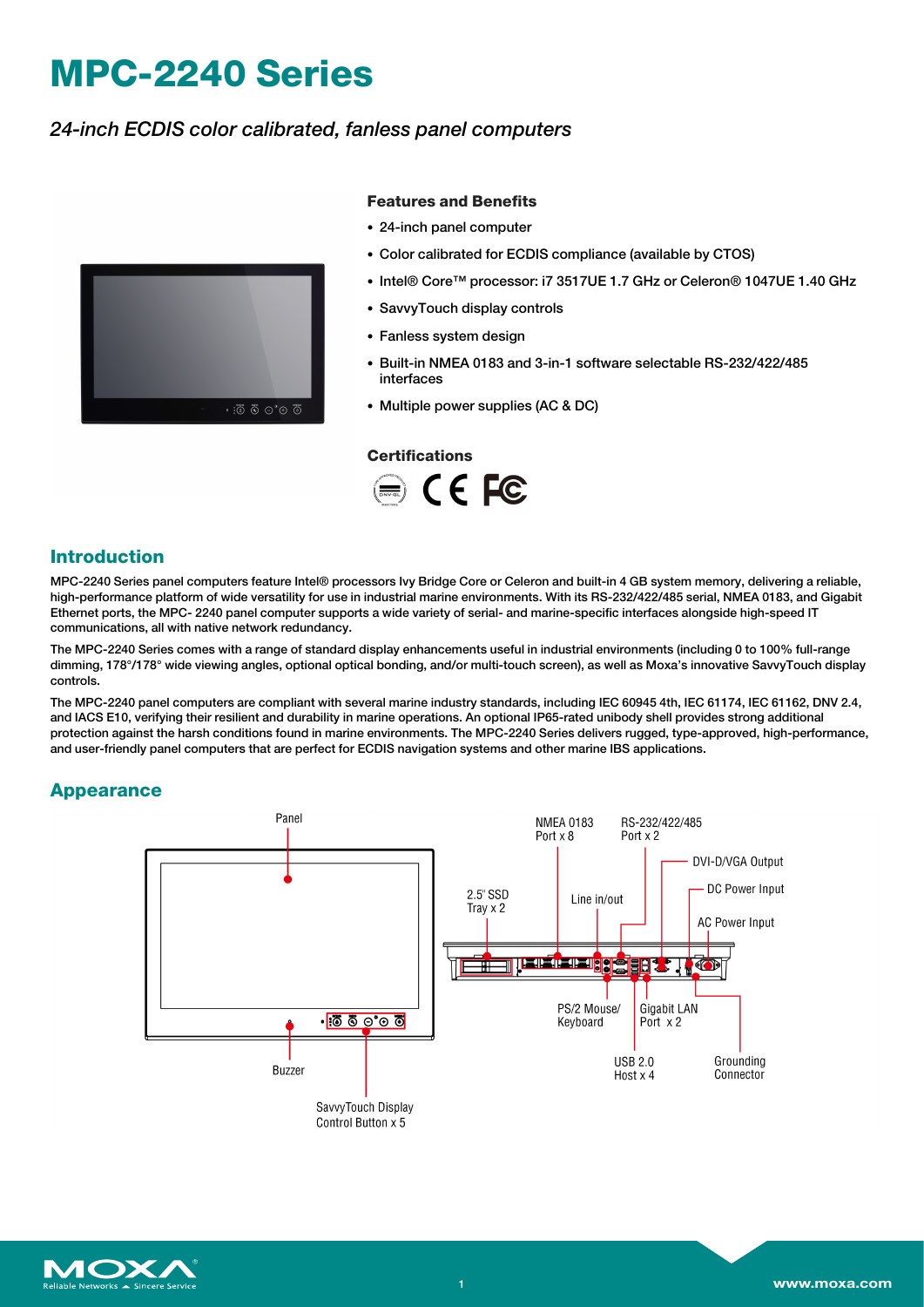# **MPC-2240 Series**

### *24-inch ECDIS color calibrated, fanless panel computers*



#### **Features and Benefits**

- 24-inch panel computer
- Color calibrated for ECDIS compliance (available by CTOS)
- Intel® Core™ processor: i7 3517UE 1.7 GHz or Celeron® 1047UE 1.40 GHz
- SavvyTouch display controls
- Fanless system design
- Built-in NMEA 0183 and 3-in-1 software selectable RS-232/422/485 interfaces
- Multiple power supplies (AC & DC)

#### **Certifications**



### **Introduction**

MPC-2240 Series panel computers feature Intel® processors Ivy Bridge Core or Celeron and built-in 4 GB system memory, delivering a reliable, high-performance platform of wide versatility for use in industrial marine environments. With its RS-232/422/485 serial, NMEA 0183, and Gigabit Ethernet ports, the MPC- 2240 panel computer supports a wide variety of serial- and marine-specific interfaces alongside high-speed IT communications, all with native network redundancy.

The MPC-2240 Series comes with a range of standard display enhancements useful in industrial environments (including 0 to 100% full-range dimming, 178°/178° wide viewing angles, optional optical bonding, and/or multi-touch screen), as well as Moxa's innovative SavvyTouch display controls.

The MPC-2240 panel computers are compliant with several marine industry standards, including IEC 60945 4th, IEC 61174, IEC 61162, DNV 2.4, and IACS E10, verifying their resilient and durability in marine operations. An optional IP65-rated unibody shell provides strong additional protection against the harsh conditions found in marine environments. The MPC-2240 Series delivers rugged, type-approved, high-performance, and user-friendly panel computers that are perfect for ECDIS navigation systems and other marine IBS applications.

#### **Appearance**



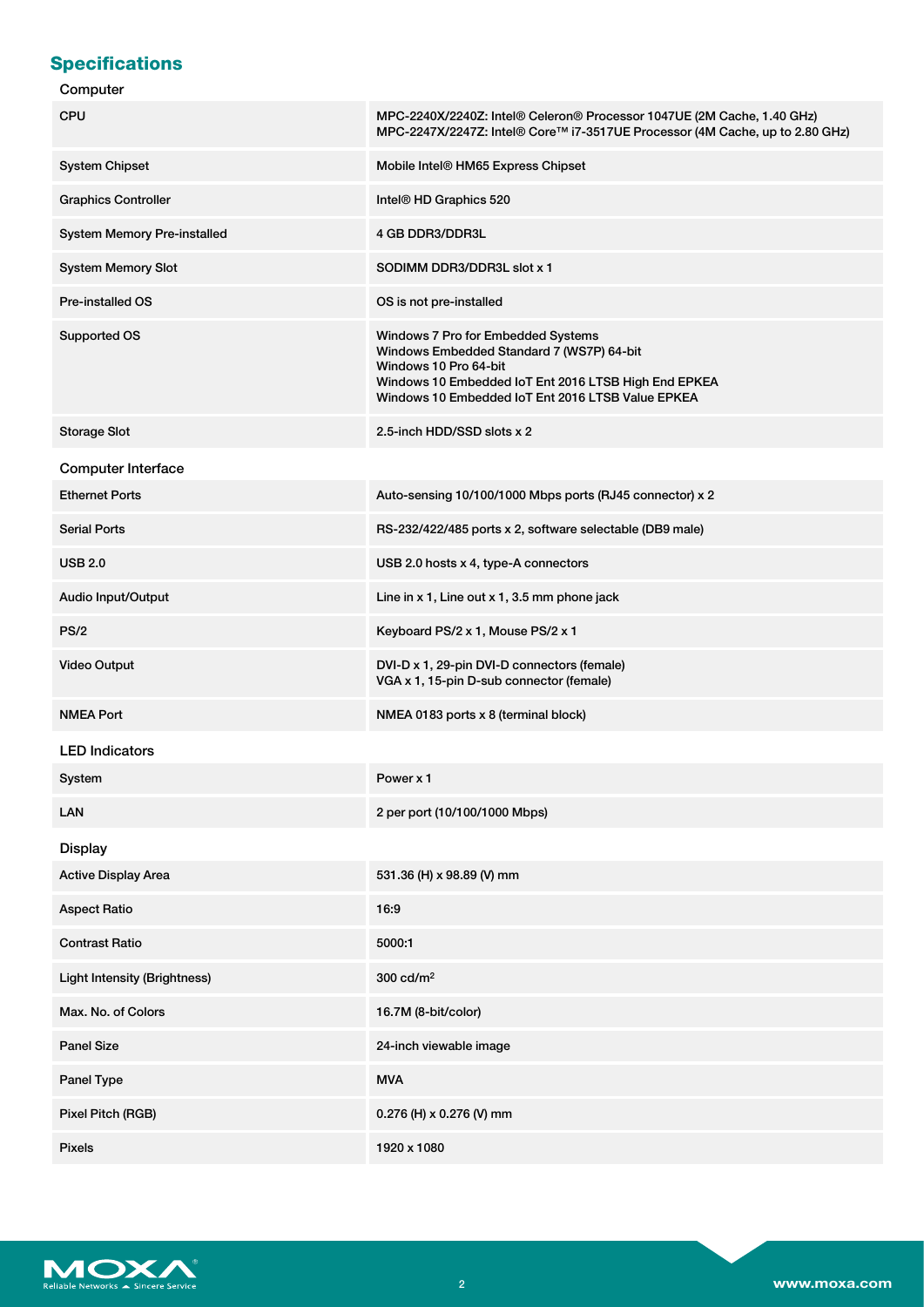# **Specifications**

### Computer

| <b>CPU</b>                          | MPC-2240X/2240Z: Intel® Celeron® Processor 1047UE (2M Cache, 1.40 GHz)<br>MPC-2247X/2247Z: Intel® Core™ i7-3517UE Processor (4M Cache, up to 2.80 GHz)                                                                |
|-------------------------------------|-----------------------------------------------------------------------------------------------------------------------------------------------------------------------------------------------------------------------|
| <b>System Chipset</b>               | Mobile Intel® HM65 Express Chipset                                                                                                                                                                                    |
| <b>Graphics Controller</b>          | Intel <sup>®</sup> HD Graphics 520                                                                                                                                                                                    |
| System Memory Pre-installed         | 4 GB DDR3/DDR3L                                                                                                                                                                                                       |
| <b>System Memory Slot</b>           | SODIMM DDR3/DDR3L slot x 1                                                                                                                                                                                            |
| <b>Pre-installed OS</b>             | OS is not pre-installed                                                                                                                                                                                               |
| Supported OS                        | Windows 7 Pro for Embedded Systems<br>Windows Embedded Standard 7 (WS7P) 64-bit<br>Windows 10 Pro 64-bit<br>Windows 10 Embedded IoT Ent 2016 LTSB High End EPKEA<br>Windows 10 Embedded IoT Ent 2016 LTSB Value EPKEA |
| <b>Storage Slot</b>                 | 2.5-inch HDD/SSD slots x 2                                                                                                                                                                                            |
| <b>Computer Interface</b>           |                                                                                                                                                                                                                       |
| <b>Ethernet Ports</b>               | Auto-sensing 10/100/1000 Mbps ports (RJ45 connector) x 2                                                                                                                                                              |
| <b>Serial Ports</b>                 | RS-232/422/485 ports x 2, software selectable (DB9 male)                                                                                                                                                              |
| <b>USB 2.0</b>                      | USB 2.0 hosts x 4, type-A connectors                                                                                                                                                                                  |
| Audio Input/Output                  | Line in x 1, Line out x 1, 3.5 mm phone jack                                                                                                                                                                          |
| PS/2                                | Keyboard PS/2 x 1, Mouse PS/2 x 1                                                                                                                                                                                     |
| <b>Video Output</b>                 | DVI-D x 1, 29-pin DVI-D connectors (female)<br>VGA x 1, 15-pin D-sub connector (female)                                                                                                                               |
| <b>NMEA Port</b>                    | NMEA 0183 ports x 8 (terminal block)                                                                                                                                                                                  |
| <b>LED Indicators</b>               |                                                                                                                                                                                                                       |
| System                              | Power x 1                                                                                                                                                                                                             |
| <b>LAN</b>                          | 2 per port (10/100/1000 Mbps)                                                                                                                                                                                         |
| <b>Display</b>                      |                                                                                                                                                                                                                       |
| <b>Active Display Area</b>          | 531.36 (H) x 98.89 (V) mm                                                                                                                                                                                             |
| <b>Aspect Ratio</b>                 | 16:9                                                                                                                                                                                                                  |
| <b>Contrast Ratio</b>               | 5000:1                                                                                                                                                                                                                |
| <b>Light Intensity (Brightness)</b> | 300 cd/m <sup>2</sup>                                                                                                                                                                                                 |
| Max. No. of Colors                  | 16.7M (8-bit/color)                                                                                                                                                                                                   |
| <b>Panel Size</b>                   | 24-inch viewable image                                                                                                                                                                                                |
| Panel Type                          | <b>MVA</b>                                                                                                                                                                                                            |
| Pixel Pitch (RGB)                   | 0.276 (H) x 0.276 (V) mm                                                                                                                                                                                              |
| <b>Pixels</b>                       | 1920 x 1080                                                                                                                                                                                                           |

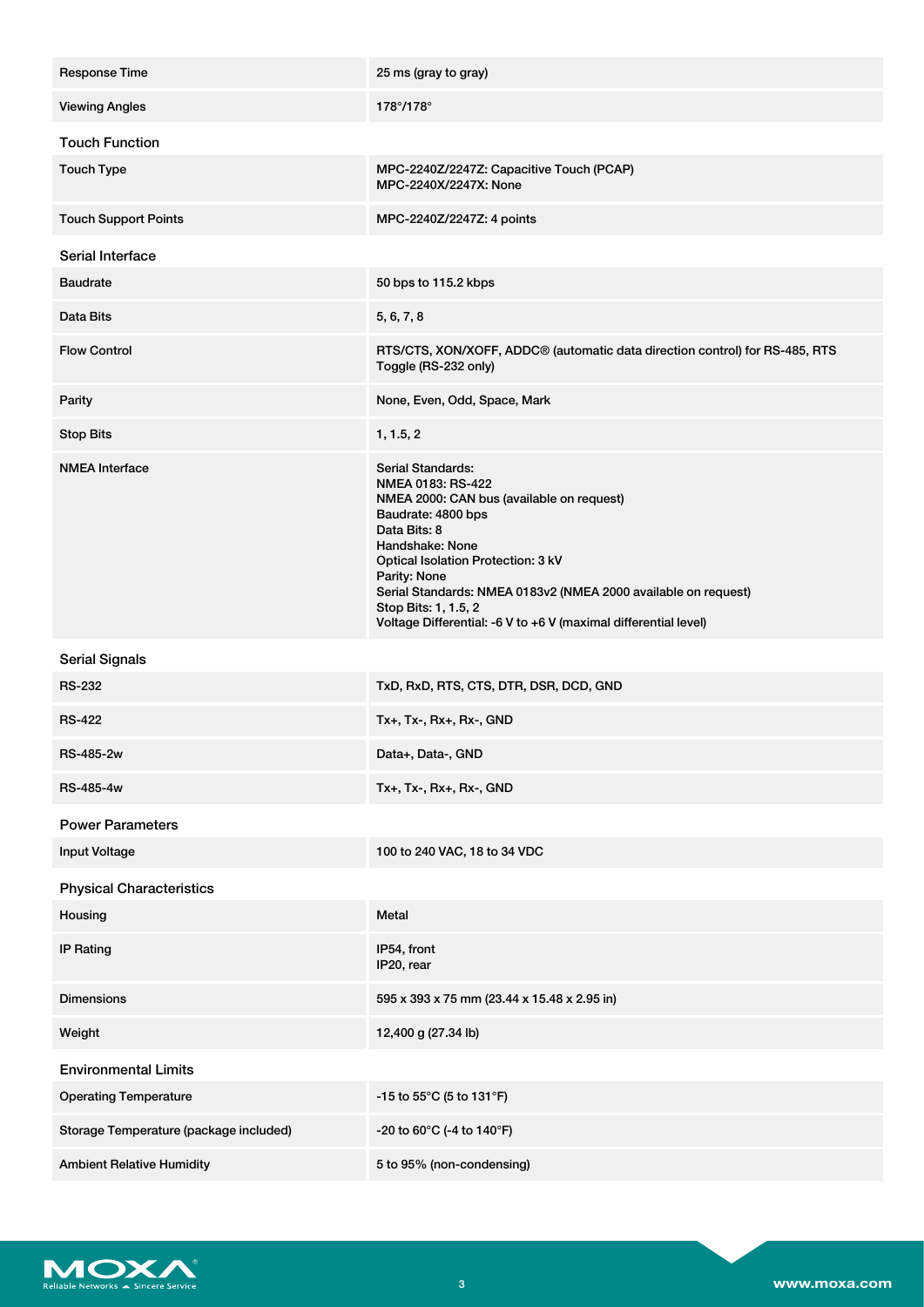| <b>Response Time</b>                   | 25 ms (gray to gray)                                                                                                                                                                                                                                                                                                                                            |
|----------------------------------------|-----------------------------------------------------------------------------------------------------------------------------------------------------------------------------------------------------------------------------------------------------------------------------------------------------------------------------------------------------------------|
| <b>Viewing Angles</b>                  | $178^{\circ}/178^{\circ}$                                                                                                                                                                                                                                                                                                                                       |
| <b>Touch Function</b>                  |                                                                                                                                                                                                                                                                                                                                                                 |
| <b>Touch Type</b>                      | MPC-2240Z/2247Z: Capacitive Touch (PCAP)<br>MPC-2240X/2247X: None                                                                                                                                                                                                                                                                                               |
| <b>Touch Support Points</b>            | MPC-2240Z/2247Z: 4 points                                                                                                                                                                                                                                                                                                                                       |
| Serial Interface                       |                                                                                                                                                                                                                                                                                                                                                                 |
| <b>Baudrate</b>                        | 50 bps to 115.2 kbps                                                                                                                                                                                                                                                                                                                                            |
| Data Bits                              | 5, 6, 7, 8                                                                                                                                                                                                                                                                                                                                                      |
| <b>Flow Control</b>                    | RTS/CTS, XON/XOFF, ADDC® (automatic data direction control) for RS-485, RTS<br>Toggle (RS-232 only)                                                                                                                                                                                                                                                             |
| Parity                                 | None, Even, Odd, Space, Mark                                                                                                                                                                                                                                                                                                                                    |
| <b>Stop Bits</b>                       | 1, 1.5, 2                                                                                                                                                                                                                                                                                                                                                       |
| <b>NMEA Interface</b>                  | Serial Standards:<br>NMEA 0183: RS-422<br>NMEA 2000: CAN bus (available on request)<br>Baudrate: 4800 bps<br>Data Bits: 8<br>Handshake: None<br>Optical Isolation Protection: 3 kV<br>Parity: None<br>Serial Standards: NMEA 0183v2 (NMEA 2000 available on request)<br>Stop Bits: 1, 1.5, 2<br>Voltage Differential: -6 V to +6 V (maximal differential level) |
| <b>Serial Signals</b>                  |                                                                                                                                                                                                                                                                                                                                                                 |
| <b>RS-232</b>                          | TxD, RxD, RTS, CTS, DTR, DSR, DCD, GND                                                                                                                                                                                                                                                                                                                          |
| <b>RS-422</b>                          | Tx+, Tx-, Rx+, Rx-, GND                                                                                                                                                                                                                                                                                                                                         |
| RS-485-2w                              | Data+, Data-, GND                                                                                                                                                                                                                                                                                                                                               |
| RS-485-4w                              | Tx+, Tx-, Rx+, Rx-, GND                                                                                                                                                                                                                                                                                                                                         |
| <b>Power Parameters</b>                |                                                                                                                                                                                                                                                                                                                                                                 |
| <b>Input Voltage</b>                   | 100 to 240 VAC, 18 to 34 VDC                                                                                                                                                                                                                                                                                                                                    |
| <b>Physical Characteristics</b>        |                                                                                                                                                                                                                                                                                                                                                                 |
| Housing                                | Metal                                                                                                                                                                                                                                                                                                                                                           |
| <b>IP Rating</b>                       | IP54, front<br>IP20, rear                                                                                                                                                                                                                                                                                                                                       |
| <b>Dimensions</b>                      | 595 x 393 x 75 mm (23.44 x 15.48 x 2.95 in)                                                                                                                                                                                                                                                                                                                     |
| Weight                                 | 12,400 g (27.34 lb)                                                                                                                                                                                                                                                                                                                                             |
| <b>Environmental Limits</b>            |                                                                                                                                                                                                                                                                                                                                                                 |
| <b>Operating Temperature</b>           | -15 to 55°C (5 to 131°F)                                                                                                                                                                                                                                                                                                                                        |
| Storage Temperature (package included) | -20 to 60°C (-4 to 140°F)                                                                                                                                                                                                                                                                                                                                       |
| <b>Ambient Relative Humidity</b>       | 5 to 95% (non-condensing)                                                                                                                                                                                                                                                                                                                                       |

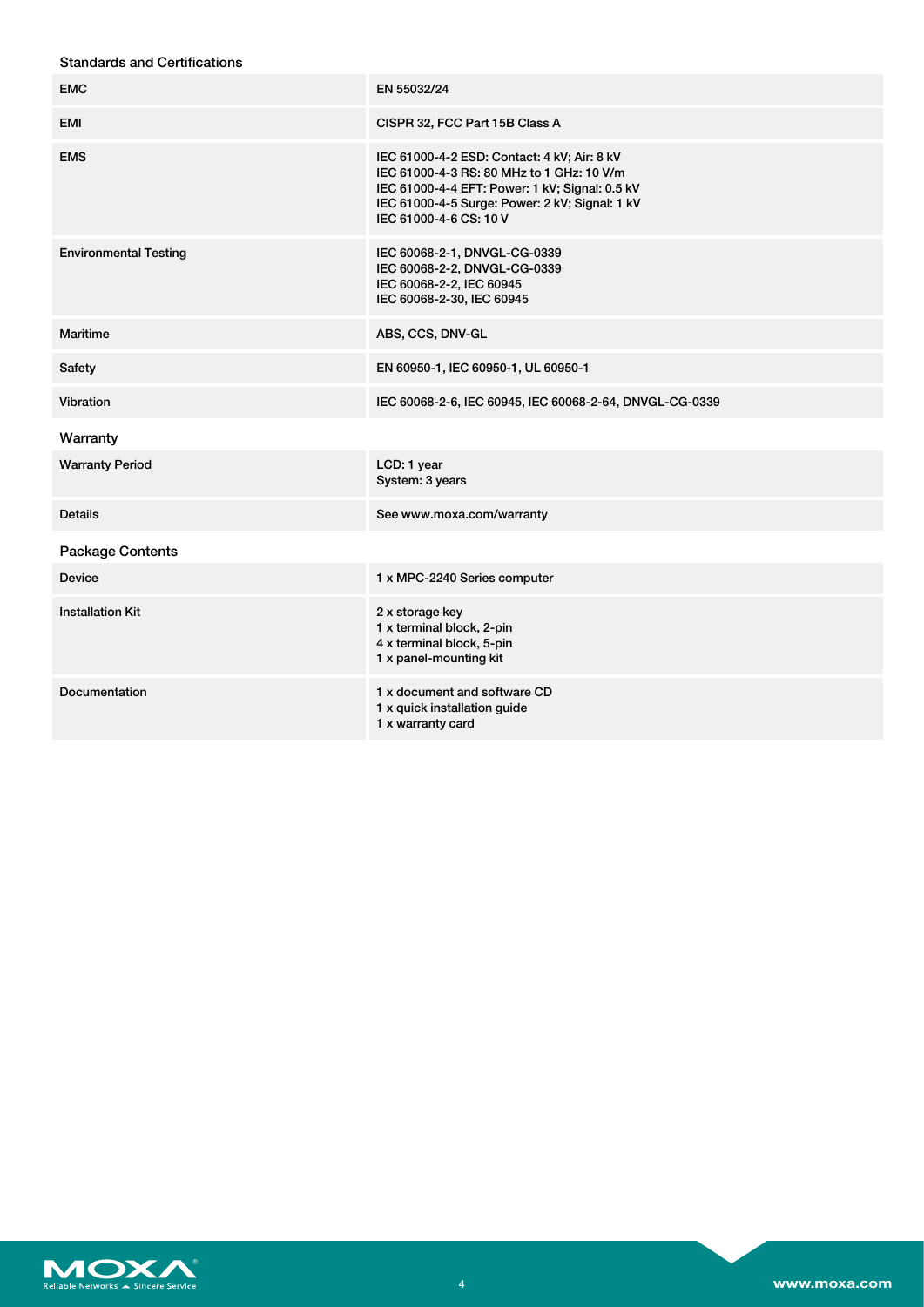| <b>Standards and Certifications</b> |
|-------------------------------------|
|-------------------------------------|

| <b>EMC</b>                   | EN 55032/24                                                                                                                                                                                                            |
|------------------------------|------------------------------------------------------------------------------------------------------------------------------------------------------------------------------------------------------------------------|
| <b>EMI</b>                   | CISPR 32, FCC Part 15B Class A                                                                                                                                                                                         |
| <b>EMS</b>                   | IEC 61000-4-2 ESD: Contact: 4 kV; Air: 8 kV<br>IEC 61000-4-3 RS: 80 MHz to 1 GHz: 10 V/m<br>IEC 61000-4-4 EFT: Power: 1 kV; Signal: 0.5 kV<br>IEC 61000-4-5 Surge: Power: 2 kV; Signal: 1 kV<br>IEC 61000-4-6 CS: 10 V |
| <b>Environmental Testing</b> | IEC 60068-2-1, DNVGL-CG-0339<br>IEC 60068-2-2, DNVGL-CG-0339<br>IEC 60068-2-2, IEC 60945<br>IEC 60068-2-30, IEC 60945                                                                                                  |
| <b>Maritime</b>              | ABS, CCS, DNV-GL                                                                                                                                                                                                       |
| Safety                       | EN 60950-1, IEC 60950-1, UL 60950-1                                                                                                                                                                                    |
| Vibration                    | IEC 60068-2-6, IEC 60945, IEC 60068-2-64, DNVGL-CG-0339                                                                                                                                                                |
| Warranty                     |                                                                                                                                                                                                                        |
| <b>Warranty Period</b>       | LCD: 1 year<br>System: 3 years                                                                                                                                                                                         |
| <b>Details</b>               | See www.moxa.com/warranty                                                                                                                                                                                              |
| <b>Package Contents</b>      |                                                                                                                                                                                                                        |
| <b>Device</b>                | 1 x MPC-2240 Series computer                                                                                                                                                                                           |
| <b>Installation Kit</b>      | 2 x storage key<br>1 x terminal block, 2-pin<br>4 x terminal block, 5-pin<br>1 x panel-mounting kit                                                                                                                    |
| Documentation                | 1 x document and software CD<br>1 x quick installation guide<br>1 x warranty card                                                                                                                                      |

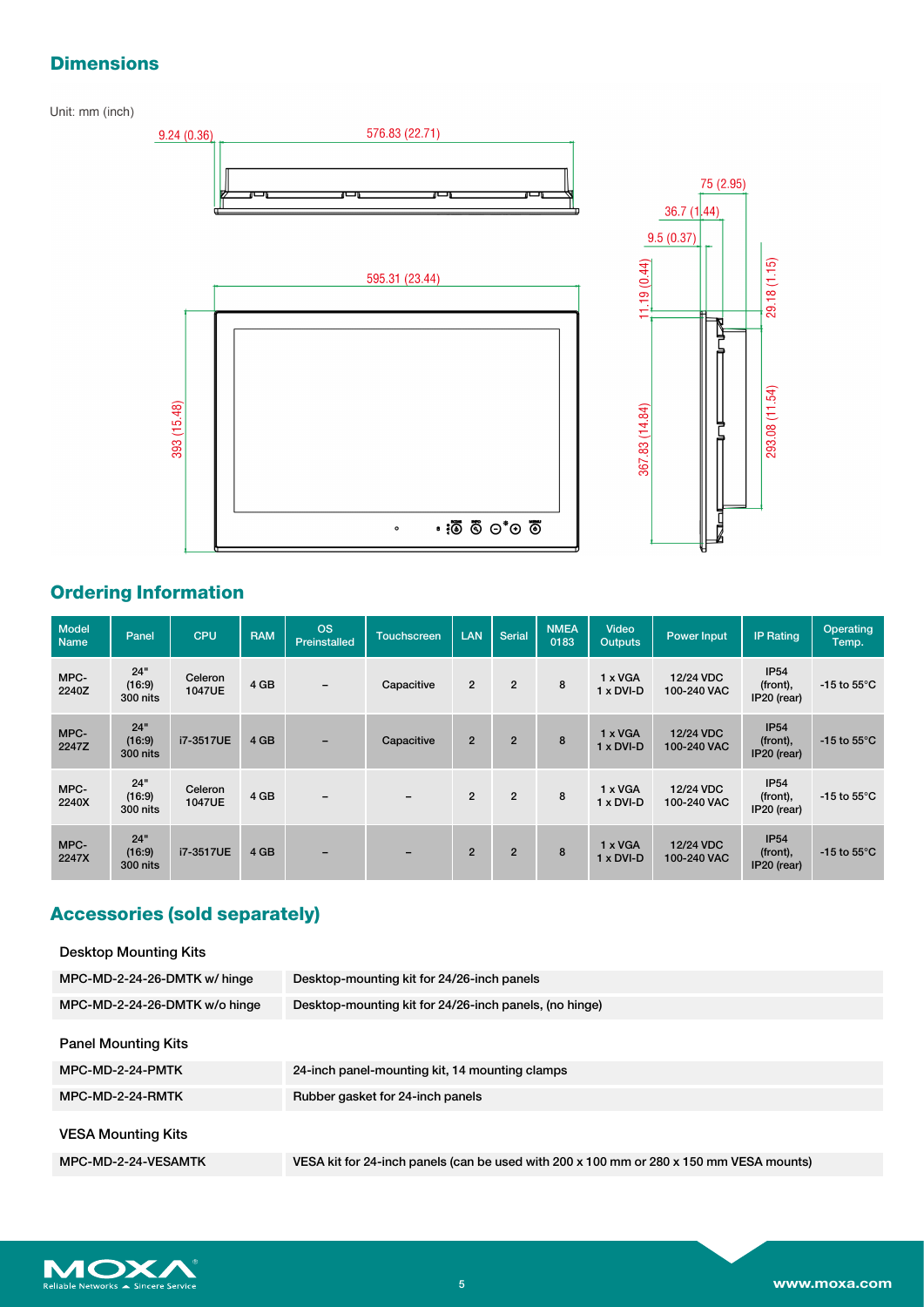### **Dimensions**

Unit: mm (inch)



### **Ordering Information**

| <b>Model</b><br><b>Name</b> | Panel                     | <b>CPU</b>               | <b>RAM</b> | <b>OS</b><br>Preinstalled | <b>Touchscreen</b>       | LAN            | <b>Serial</b>  | <b>NMEA</b><br>0183 | Video<br><b>Outputs</b>            | <b>Power Input</b>       | <b>IP Rating</b>                       | Operating<br>Temp.             |
|-----------------------------|---------------------------|--------------------------|------------|---------------------------|--------------------------|----------------|----------------|---------------------|------------------------------------|--------------------------|----------------------------------------|--------------------------------|
| MPC-<br>2240Z               | 24"<br>(16:9)<br>300 nits | Celeron<br>1047UE        | 4 GB       | $\overline{\phantom{m}}$  | Capacitive               | $\overline{2}$ | $\overline{2}$ | 8                   | 1 x VGA<br>$1 \times DVI-D$        | 12/24 VDC<br>100-240 VAC | <b>IP54</b><br>(front),<br>IP20 (rear) | -15 to 55 $\mathrm{^{\circ}C}$ |
| MPC-<br>2247Z               | 24"<br>(16:9)<br>300 nits | i7-3517UE                | 4 GB       | $\overline{\phantom{a}}$  | Capacitive               | $\overline{2}$ | $\overline{2}$ | 8                   | $1 \times VGA$<br>$1 \times DVI-D$ | 12/24 VDC<br>100-240 VAC | <b>IP54</b><br>(front),<br>IP20 (rear) | -15 to 55 $\mathrm{^{\circ}C}$ |
| MPC-<br>2240X               | 24"<br>(16:9)<br>300 nits | Celeron<br><b>1047UE</b> | 4 GB       | $\overline{\phantom{a}}$  | $\overline{\phantom{a}}$ | $\overline{2}$ | $\overline{2}$ | 8                   | 1 x VGA<br>$1 \times DVI - D$      | 12/24 VDC<br>100-240 VAC | IP54<br>(front),<br>IP20 (rear)        | -15 to 55 $\degree$ C          |
| MPC-<br>2247X               | 24"<br>(16:9)<br>300 nits | i7-3517UE                | 4 GB       | $\overline{\phantom{0}}$  | $\overline{\phantom{a}}$ | $\overline{2}$ | $\overline{2}$ | 8                   | 1 x VGA<br>$1 \times DVI-D$        | 12/24 VDC<br>100-240 VAC | <b>IP54</b><br>(front),<br>IP20 (rear) | -15 to $55^{\circ}$ C          |

## **Accessories (sold separately)**

| Desktop-mounting kit for 24/26-inch panels                                              |
|-----------------------------------------------------------------------------------------|
| Desktop-mounting kit for 24/26-inch panels, (no hinge)                                  |
|                                                                                         |
| 24-inch panel-mounting kit, 14 mounting clamps                                          |
| Rubber gasket for 24-inch panels                                                        |
|                                                                                         |
| VESA kit for 24-inch panels (can be used with 200 x 100 mm or 280 x 150 mm VESA mounts) |
|                                                                                         |